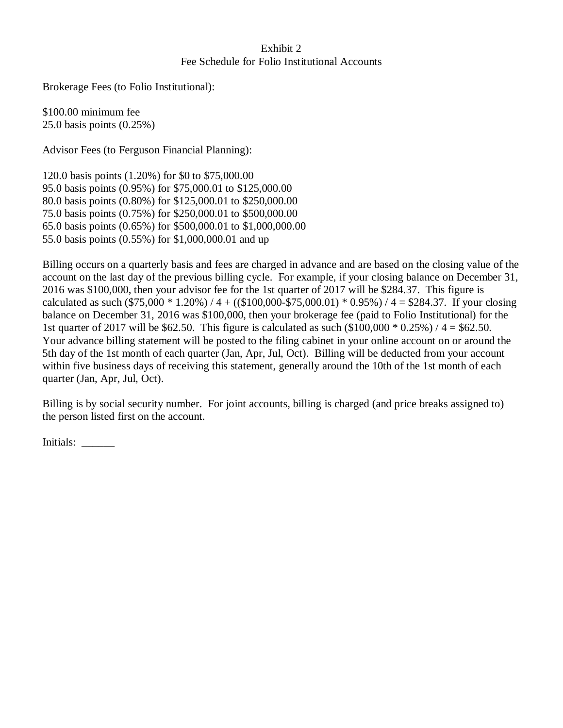## Exhibit 2 Fee Schedule for Folio Institutional Accounts

Brokerage Fees (to Folio Institutional):

\$100.00 minimum fee 25.0 basis points (0.25%)

Advisor Fees (to Ferguson Financial Planning):

120.0 basis points (1.20%) for \$0 to \$75,000.00 95.0 basis points (0.95%) for \$75,000.01 to \$125,000.00 80.0 basis points (0.80%) for \$125,000.01 to \$250,000.00 75.0 basis points (0.75%) for \$250,000.01 to \$500,000.00 65.0 basis points (0.65%) for \$500,000.01 to \$1,000,000.00 55.0 basis points (0.55%) for \$1,000,000.01 and up

Billing occurs on a quarterly basis and fees are charged in advance and are based on the closing value of the account on the last day of the previous billing cycle. For example, if your closing balance on December 31, 2016 was \$100,000, then your advisor fee for the 1st quarter of 2017 will be \$284.37. This figure is calculated as such  $(\$75,000 * 1.20\%) / 4 + ((\$100,000 - \$75,000.01) * 0.95\%) / 4 = \$284.37$ . If your closing balance on December 31, 2016 was \$100,000, then your brokerage fee (paid to Folio Institutional) for the 1st quarter of 2017 will be \$62.50. This figure is calculated as such  $(\$100,000 * 0.25%) / 4 = \$62.50$ . Your advance billing statement will be posted to the filing cabinet in your online account on or around the 5th day of the 1st month of each quarter (Jan, Apr, Jul, Oct). Billing will be deducted from your account within five business days of receiving this statement, generally around the 10th of the 1st month of each quarter (Jan, Apr, Jul, Oct).

Billing is by social security number. For joint accounts, billing is charged (and price breaks assigned to) the person listed first on the account.

Initials: